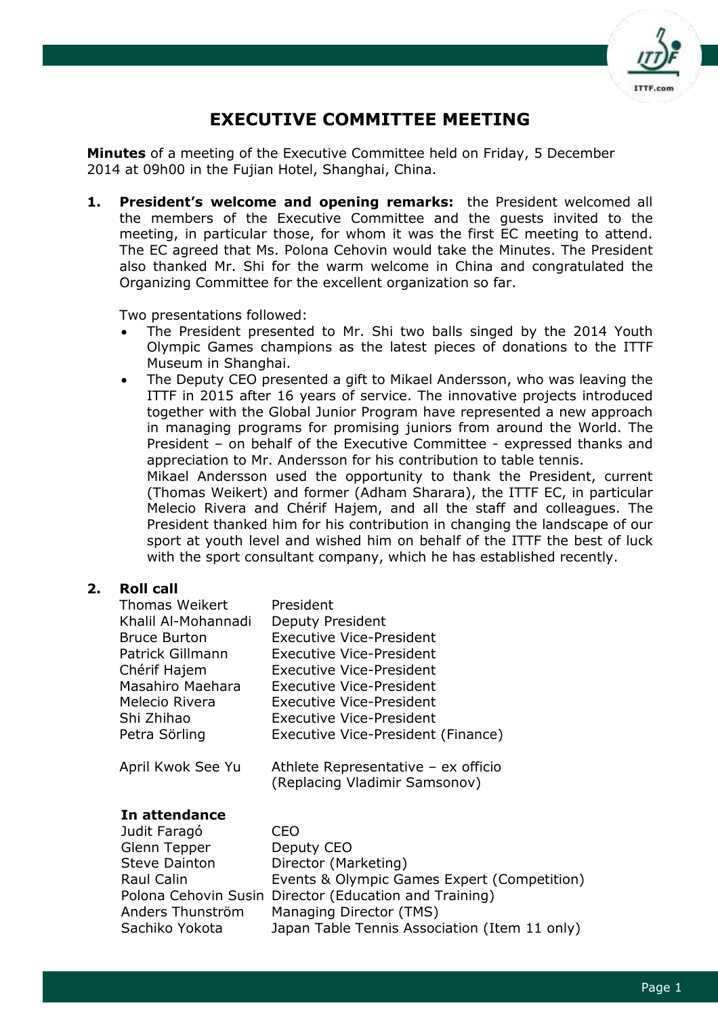

# **EXECUTIVE COMMITTEE MEETING**

**Minutes** of a meeting of the Executive Committee held on Friday, 5 December 2014 at 09h00 in the Fujian Hotel, Shanghai, China.

**1. President's welcome and opening remarks:** the President welcomed all the members of the Executive Committee and the guests invited to the meeting, in particular those, for whom it was the first EC meeting to attend. The EC agreed that Ms. Polona Cehovin would take the Minutes. The President also thanked Mr. Shi for the warm welcome in China and congratulated the Organizing Committee for the excellent organization so far.

Two presentations followed:

- The President presented to Mr. Shi two balls singed by the 2014 Youth Olympic Games champions as the latest pieces of donations to the ITTF Museum in Shanghai.
- The Deputy CEO presented a gift to Mikael Andersson, who was leaving the ITTF in 2015 after 16 years of service. The innovative projects introduced together with the Global Junior Program have represented a new approach in managing programs for promising juniors from around the World. The President – on behalf of the Executive Committee - expressed thanks and appreciation to Mr. Andersson for his contribution to table tennis.

Mikael Andersson used the opportunity to thank the President, current (Thomas Weikert) and former (Adham Sharara), the ITTF EC, in particular Melecio Rivera and Chérif Hajem, and all the staff and colleagues. The President thanked him for his contribution in changing the landscape of our sport at youth level and wished him on behalf of the ITTF the best of luck with the sport consultant company, which he has established recently.

# **2. Roll call**

| <b>Thomas Weikert</b> | President                                                            |
|-----------------------|----------------------------------------------------------------------|
| Khalil Al-Mohannadi   | Deputy President                                                     |
| <b>Bruce Burton</b>   | Executive Vice-President                                             |
| Patrick Gillmann      | Executive Vice-President                                             |
| Chérif Hajem          | <b>Executive Vice-President</b>                                      |
| Masahiro Maehara      | Executive Vice-President                                             |
| Melecio Rivera        | <b>Executive Vice-President</b>                                      |
| Shi Zhihao            | <b>Executive Vice-President</b>                                      |
| Petra Sörling         | Executive Vice-President (Finance)                                   |
| April Kwok See Yu     | Athlete Representative - ex officio<br>(Replacing Vladimir Samsonov) |
| In attendance         |                                                                      |
| Judit Faragó          | CEO                                                                  |
| Glenn Tepper          | Deputy CEO                                                           |
| Steve Dainton         | Director (Marketing)                                                 |
| Raul Calin            | Events & Olympic Games Expert (Competition)                          |
|                       | Polona Cehovin Susin Director (Education and Training)               |
| Anders Thunström      | Managing Director (TMS)                                              |
| Sachiko Yokota        | Japan Table Tennis Association (Item 11 only)                        |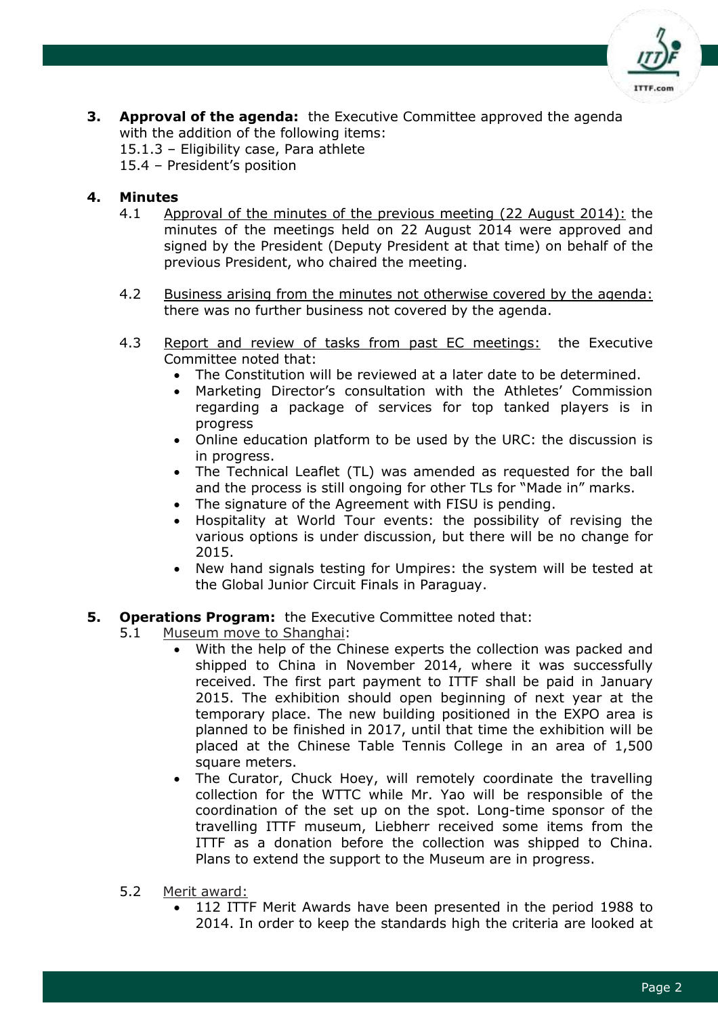

**3. Approval of the agenda:** the Executive Committee approved the agenda with the addition of the following items:

15.1.3 – Eligibility case, Para athlete

15.4 – President's position

#### **4. Minutes**

- 4.1 Approval of the minutes of the previous meeting (22 August 2014): the minutes of the meetings held on 22 August 2014 were approved and signed by the President (Deputy President at that time) on behalf of the previous President, who chaired the meeting.
- 4.2 Business arising from the minutes not otherwise covered by the agenda: there was no further business not covered by the agenda.
- 4.3 Report and review of tasks from past EC meetings: the Executive Committee noted that:
	- The Constitution will be reviewed at a later date to be determined.
	- Marketing Director's consultation with the Athletes' Commission regarding a package of services for top tanked players is in progress
	- Online education platform to be used by the URC: the discussion is in progress.
	- The Technical Leaflet (TL) was amended as requested for the ball and the process is still ongoing for other TLs for "Made in" marks.
	- The signature of the Agreement with FISU is pending.
	- Hospitality at World Tour events: the possibility of revising the various options is under discussion, but there will be no change for 2015.
	- New hand signals testing for Umpires: the system will be tested at the Global Junior Circuit Finals in Paraguay.

#### **5. Operations Program:** the Executive Committee noted that:

- 5.1 Museum move to Shanghai:
	- With the help of the Chinese experts the collection was packed and shipped to China in November 2014, where it was successfully received. The first part payment to ITTF shall be paid in January 2015. The exhibition should open beginning of next year at the temporary place. The new building positioned in the EXPO area is planned to be finished in 2017, until that time the exhibition will be placed at the Chinese Table Tennis College in an area of 1,500 square meters.
	- The Curator, Chuck Hoey, will remotely coordinate the travelling collection for the WTTC while Mr. Yao will be responsible of the coordination of the set up on the spot. Long-time sponsor of the travelling ITTF museum, Liebherr received some items from the ITTF as a donation before the collection was shipped to China. Plans to extend the support to the Museum are in progress.
- 5.2 Merit award:
	- 112 ITTF Merit Awards have been presented in the period 1988 to 2014. In order to keep the standards high the criteria are looked at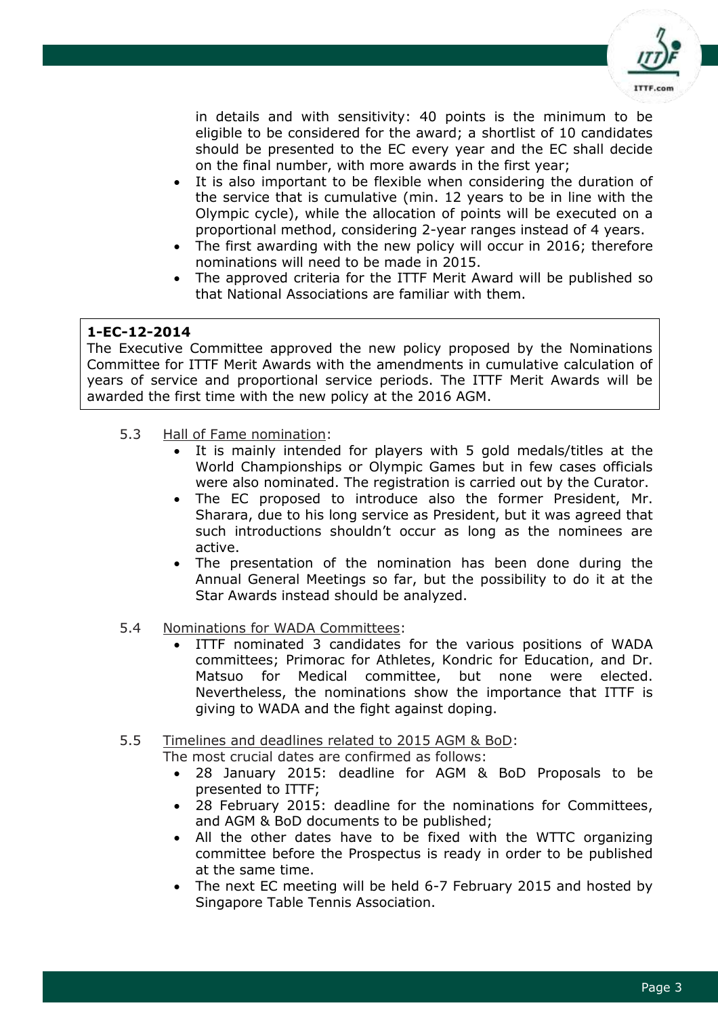

in details and with sensitivity: 40 points is the minimum to be eligible to be considered for the award; a shortlist of 10 candidates should be presented to the EC every year and the EC shall decide on the final number, with more awards in the first year;

- It is also important to be flexible when considering the duration of the service that is cumulative (min. 12 years to be in line with the Olympic cycle), while the allocation of points will be executed on a proportional method, considering 2-year ranges instead of 4 years.
- The first awarding with the new policy will occur in 2016; therefore nominations will need to be made in 2015.
- The approved criteria for the ITTF Merit Award will be published so that National Associations are familiar with them.

# **1-EC-12-2014**

The Executive Committee approved the new policy proposed by the Nominations Committee for ITTF Merit Awards with the amendments in cumulative calculation of years of service and proportional service periods. The ITTF Merit Awards will be awarded the first time with the new policy at the 2016 AGM.

- 5.3 Hall of Fame nomination:
	- It is mainly intended for players with 5 gold medals/titles at the World Championships or Olympic Games but in few cases officials were also nominated. The registration is carried out by the Curator.
	- The EC proposed to introduce also the former President, Mr. Sharara, due to his long service as President, but it was agreed that such introductions shouldn't occur as long as the nominees are active.
	- The presentation of the nomination has been done during the Annual General Meetings so far, but the possibility to do it at the Star Awards instead should be analyzed.
- 5.4 Nominations for WADA Committees:
	- ITTF nominated 3 candidates for the various positions of WADA committees; Primorac for Athletes, Kondric for Education, and Dr. Matsuo for Medical committee, but none were elected. Nevertheless, the nominations show the importance that ITTF is giving to WADA and the fight against doping.
- 5.5 Timelines and deadlines related to 2015 AGM & BoD:

The most crucial dates are confirmed as follows:

- 28 January 2015: deadline for AGM & BoD Proposals to be presented to ITTF;
- 28 February 2015: deadline for the nominations for Committees, and AGM & BoD documents to be published;
- All the other dates have to be fixed with the WTTC organizing committee before the Prospectus is ready in order to be published at the same time.
- The next EC meeting will be held 6-7 February 2015 and hosted by Singapore Table Tennis Association.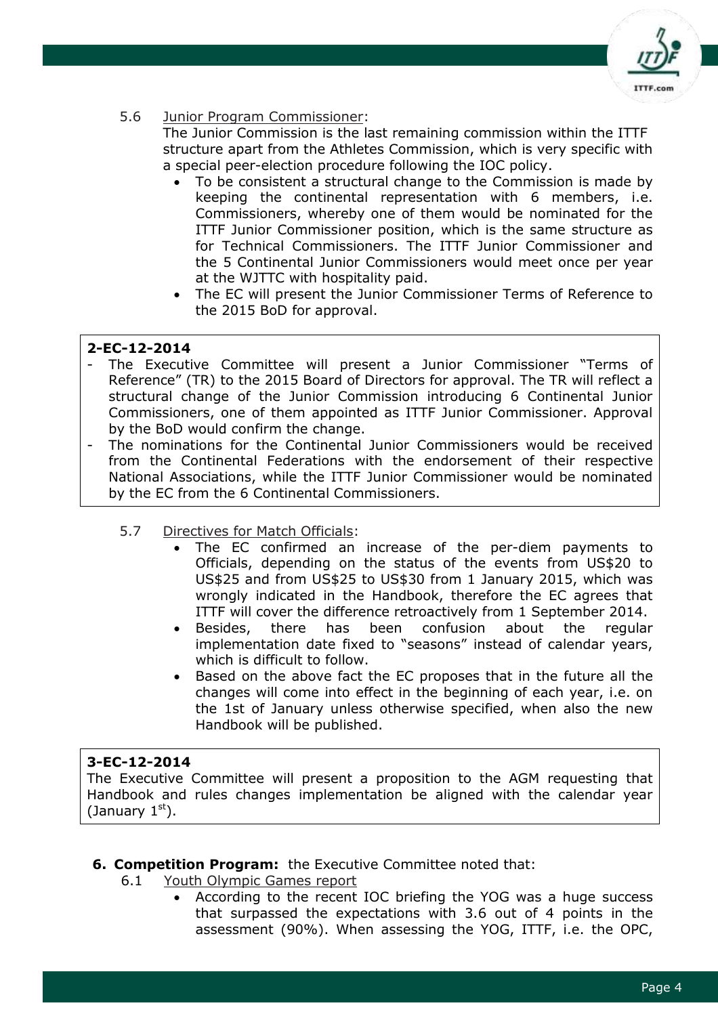

5.6 Junior Program Commissioner:

The Junior Commission is the last remaining commission within the ITTF structure apart from the Athletes Commission, which is very specific with a special peer-election procedure following the IOC policy.

- To be consistent a structural change to the Commission is made by keeping the continental representation with 6 members, i.e. Commissioners, whereby one of them would be nominated for the ITTF Junior Commissioner position, which is the same structure as for Technical Commissioners. The ITTF Junior Commissioner and the 5 Continental Junior Commissioners would meet once per year at the WJTTC with hospitality paid.
- The EC will present the Junior Commissioner Terms of Reference to the 2015 BoD for approval.

# **2-EC-12-2014**

- The Executive Committee will present a Junior Commissioner "Terms of Reference" (TR) to the 2015 Board of Directors for approval. The TR will reflect a structural change of the Junior Commission introducing 6 Continental Junior Commissioners, one of them appointed as ITTF Junior Commissioner. Approval by the BoD would confirm the change.
- The nominations for the Continental Junior Commissioners would be received from the Continental Federations with the endorsement of their respective National Associations, while the ITTF Junior Commissioner would be nominated by the EC from the 6 Continental Commissioners.
	- 5.7 Directives for Match Officials:
		- The EC confirmed an increase of the per-diem payments to Officials, depending on the status of the events from US\$20 to US\$25 and from US\$25 to US\$30 from 1 January 2015, which was wrongly indicated in the Handbook, therefore the EC agrees that ITTF will cover the difference retroactively from 1 September 2014.
		- Besides, there has been confusion about the regular implementation date fixed to "seasons" instead of calendar years, which is difficult to follow.
		- Based on the above fact the EC proposes that in the future all the changes will come into effect in the beginning of each year, i.e. on the 1st of January unless otherwise specified, when also the new Handbook will be published.

# **3-EC-12-2014**

The Executive Committee will present a proposition to the AGM requesting that Handbook and rules changes implementation be aligned with the calendar year (January  $1<sup>st</sup>$ ).

- **6. Competition Program:** the Executive Committee noted that:
	- 6.1 Youth Olympic Games report
		- According to the recent IOC briefing the YOG was a huge success that surpassed the expectations with 3.6 out of 4 points in the assessment (90%). When assessing the YOG, ITTF, i.e. the OPC,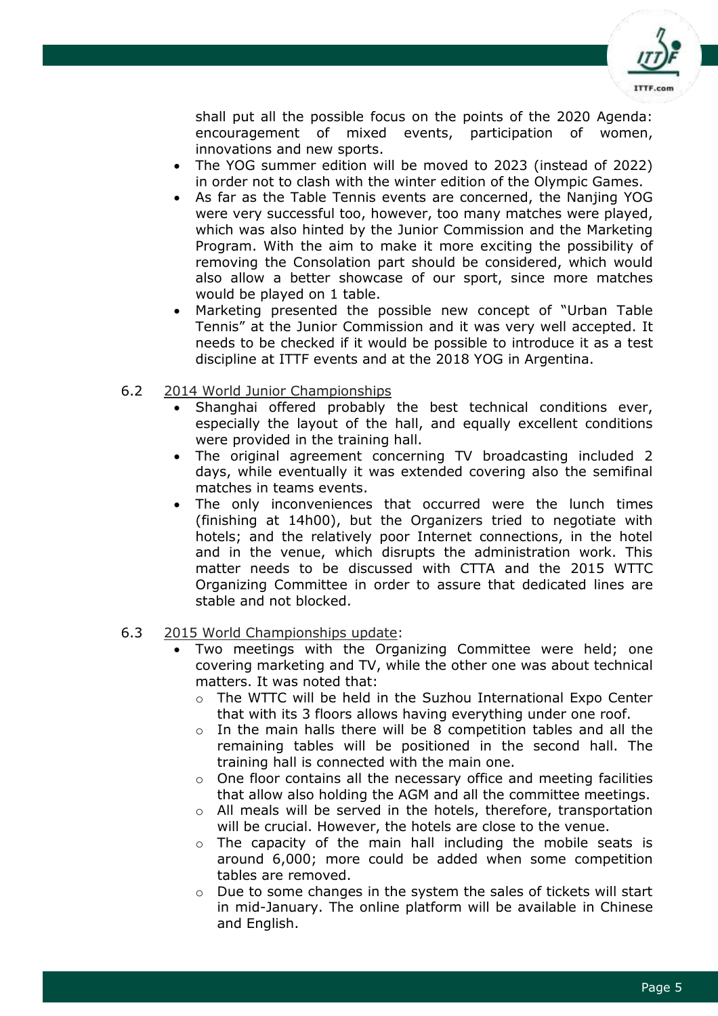

shall put all the possible focus on the points of the 2020 Agenda: encouragement of mixed events, participation of women, innovations and new sports.

- The YOG summer edition will be moved to 2023 (instead of 2022) in order not to clash with the winter edition of the Olympic Games.
- As far as the Table Tennis events are concerned, the Nanjing YOG were very successful too, however, too many matches were played, which was also hinted by the Junior Commission and the Marketing Program. With the aim to make it more exciting the possibility of removing the Consolation part should be considered, which would also allow a better showcase of our sport, since more matches would be played on 1 table.
- Marketing presented the possible new concept of "Urban Table Tennis" at the Junior Commission and it was very well accepted. It needs to be checked if it would be possible to introduce it as a test discipline at ITTF events and at the 2018 YOG in Argentina.

#### 6.2 2014 World Junior Championships

- Shanghai offered probably the best technical conditions ever, especially the layout of the hall, and equally excellent conditions were provided in the training hall.
- The original agreement concerning TV broadcasting included 2 days, while eventually it was extended covering also the semifinal matches in teams events.
- The only inconveniences that occurred were the lunch times (finishing at 14h00), but the Organizers tried to negotiate with hotels; and the relatively poor Internet connections, in the hotel and in the venue, which disrupts the administration work. This matter needs to be discussed with CTTA and the 2015 WTTC Organizing Committee in order to assure that dedicated lines are stable and not blocked.

#### 6.3 2015 World Championships update:

- Two meetings with the Organizing Committee were held; one covering marketing and TV, while the other one was about technical matters. It was noted that:
	- $\circ$  The WTTC will be held in the Suzhou International Expo Center that with its 3 floors allows having everything under one roof.
	- o In the main halls there will be 8 competition tables and all the remaining tables will be positioned in the second hall. The training hall is connected with the main one.
	- o One floor contains all the necessary office and meeting facilities that allow also holding the AGM and all the committee meetings.
	- o All meals will be served in the hotels, therefore, transportation will be crucial. However, the hotels are close to the venue.
	- $\circ$  The capacity of the main hall including the mobile seats is around 6,000; more could be added when some competition tables are removed.
	- $\circ$  Due to some changes in the system the sales of tickets will start in mid-January. The online platform will be available in Chinese and English.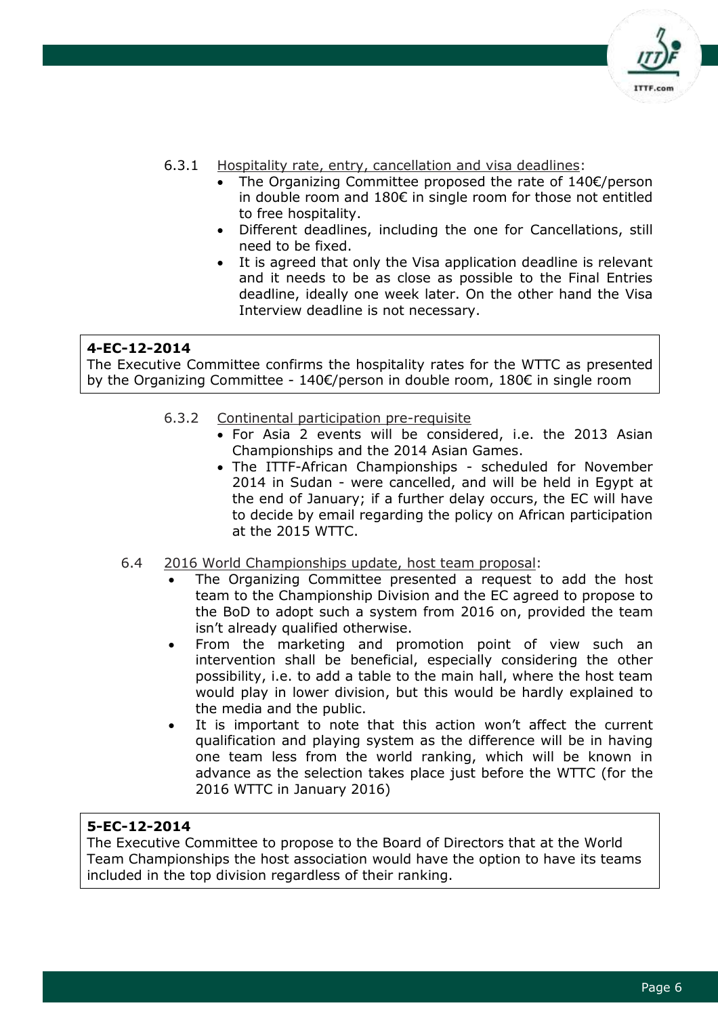

- 6.3.1 Hospitality rate, entry, cancellation and visa deadlines:
	- The Organizing Committee proposed the rate of 140€/person in double room and 180€ in single room for those not entitled to free hospitality.
	- Different deadlines, including the one for Cancellations, still need to be fixed.
	- It is agreed that only the Visa application deadline is relevant and it needs to be as close as possible to the Final Entries deadline, ideally one week later. On the other hand the Visa Interview deadline is not necessary.

The Executive Committee confirms the hospitality rates for the WTTC as presented by the Organizing Committee - 140€/person in double room, 180€ in single room

- 6.3.2 Continental participation pre-requisite
	- For Asia 2 events will be considered, i.e. the 2013 Asian Championships and the 2014 Asian Games.
	- The ITTF-African Championships scheduled for November 2014 in Sudan - were cancelled, and will be held in Egypt at the end of January; if a further delay occurs, the EC will have to decide by email regarding the policy on African participation at the 2015 WTTC.
- 6.4 2016 World Championships update, host team proposal:
	- The Organizing Committee presented a request to add the host team to the Championship Division and the EC agreed to propose to the BoD to adopt such a system from 2016 on, provided the team isn't already qualified otherwise.
	- From the marketing and promotion point of view such an intervention shall be beneficial, especially considering the other possibility, i.e. to add a table to the main hall, where the host team would play in lower division, but this would be hardly explained to the media and the public.
	- It is important to note that this action won't affect the current qualification and playing system as the difference will be in having one team less from the world ranking, which will be known in advance as the selection takes place just before the WTTC (for the 2016 WTTC in January 2016)

#### **5-EC-12-2014**

The Executive Committee to propose to the Board of Directors that at the World Team Championships the host association would have the option to have its teams included in the top division regardless of their ranking.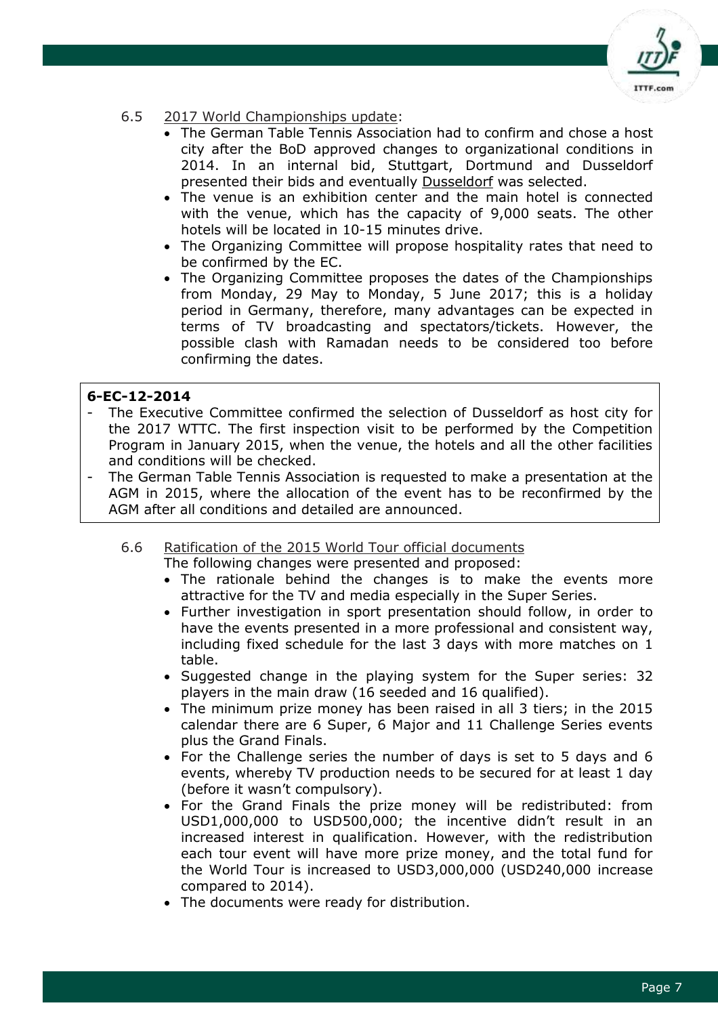

# 6.5 2017 World Championships update:

- The German Table Tennis Association had to confirm and chose a host city after the BoD approved changes to organizational conditions in 2014. In an internal bid, Stuttgart, Dortmund and Dusseldorf presented their bids and eventually Dusseldorf was selected.
- The venue is an exhibition center and the main hotel is connected with the venue, which has the capacity of 9,000 seats. The other hotels will be located in 10-15 minutes drive.
- The Organizing Committee will propose hospitality rates that need to be confirmed by the EC.
- The Organizing Committee proposes the dates of the Championships from Monday, 29 May to Monday, 5 June 2017; this is a holiday period in Germany, therefore, many advantages can be expected in terms of TV broadcasting and spectators/tickets. However, the possible clash with Ramadan needs to be considered too before confirming the dates.

# **6-EC-12-2014**

- The Executive Committee confirmed the selection of Dusseldorf as host city for the 2017 WTTC. The first inspection visit to be performed by the Competition Program in January 2015, when the venue, the hotels and all the other facilities and conditions will be checked.
- The German Table Tennis Association is requested to make a presentation at the AGM in 2015, where the allocation of the event has to be reconfirmed by the AGM after all conditions and detailed are announced.
	- 6.6 Ratification of the 2015 World Tour official documents
		- The following changes were presented and proposed:
		- The rationale behind the changes is to make the events more attractive for the TV and media especially in the Super Series.
		- Further investigation in sport presentation should follow, in order to have the events presented in a more professional and consistent way, including fixed schedule for the last 3 days with more matches on 1 table.
		- Suggested change in the playing system for the Super series: 32 players in the main draw (16 seeded and 16 qualified).
		- The minimum prize money has been raised in all 3 tiers; in the 2015 calendar there are 6 Super, 6 Major and 11 Challenge Series events plus the Grand Finals.
		- For the Challenge series the number of days is set to 5 days and 6 events, whereby TV production needs to be secured for at least 1 day (before it wasn't compulsory).
		- For the Grand Finals the prize money will be redistributed: from USD1,000,000 to USD500,000; the incentive didn't result in an increased interest in qualification. However, with the redistribution each tour event will have more prize money, and the total fund for the World Tour is increased to USD3,000,000 (USD240,000 increase compared to 2014).
		- The documents were ready for distribution.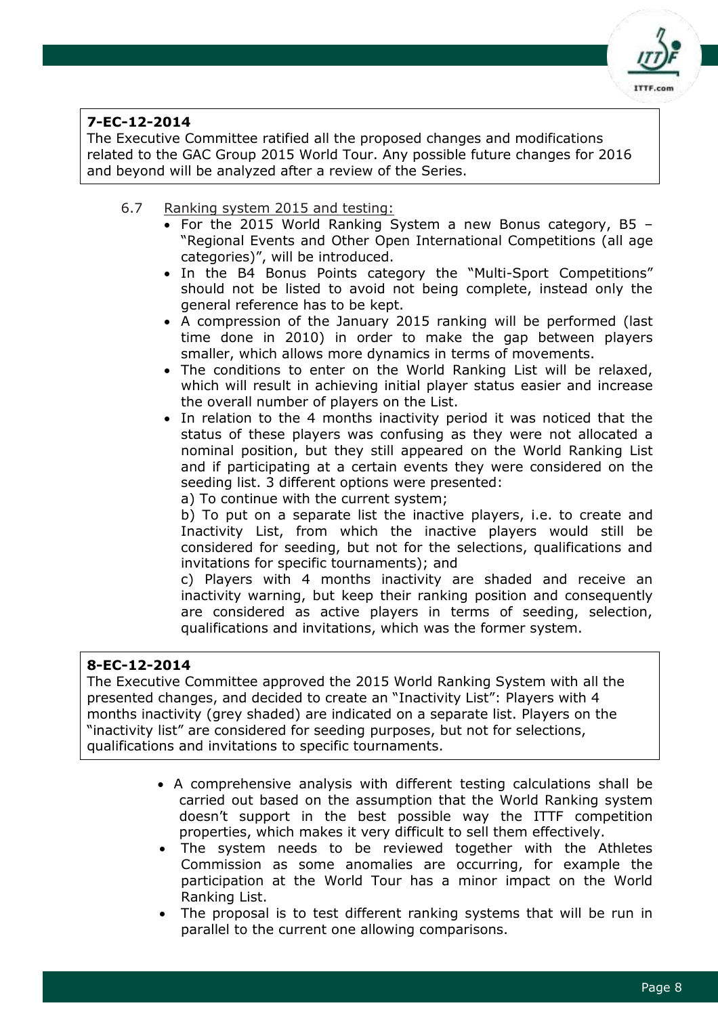

The Executive Committee ratified all the proposed changes and modifications related to the GAC Group 2015 World Tour. Any possible future changes for 2016 and beyond will be analyzed after a review of the Series.

- 6.7 Ranking system 2015 and testing:
	- For the 2015 World Ranking System a new Bonus category, B5 "Regional Events and Other Open International Competitions (all age categories)", will be introduced.
	- In the B4 Bonus Points category the "Multi-Sport Competitions" should not be listed to avoid not being complete, instead only the general reference has to be kept.
	- A compression of the January 2015 ranking will be performed (last time done in 2010) in order to make the gap between players smaller, which allows more dynamics in terms of movements.
	- The conditions to enter on the World Ranking List will be relaxed, which will result in achieving initial player status easier and increase the overall number of players on the List.
	- In relation to the 4 months inactivity period it was noticed that the status of these players was confusing as they were not allocated a nominal position, but they still appeared on the World Ranking List and if participating at a certain events they were considered on the seeding list. 3 different options were presented:
		- a) To continue with the current system;

b) To put on a separate list the inactive players, i.e. to create and Inactivity List, from which the inactive players would still be considered for seeding, but not for the selections, qualifications and invitations for specific tournaments); and

c) Players with 4 months inactivity are shaded and receive an inactivity warning, but keep their ranking position and consequently are considered as active players in terms of seeding, selection, qualifications and invitations, which was the former system.

# **8-EC-12-2014**

The Executive Committee approved the 2015 World Ranking System with all the presented changes, and decided to create an "Inactivity List": Players with 4 months inactivity (grey shaded) are indicated on a separate list. Players on the "inactivity list" are considered for seeding purposes, but not for selections, qualifications and invitations to specific tournaments.

- A comprehensive analysis with different testing calculations shall be carried out based on the assumption that the World Ranking system doesn't support in the best possible way the ITTF competition properties, which makes it very difficult to sell them effectively.
- The system needs to be reviewed together with the Athletes Commission as some anomalies are occurring, for example the participation at the World Tour has a minor impact on the World Ranking List.
- The proposal is to test different ranking systems that will be run in parallel to the current one allowing comparisons.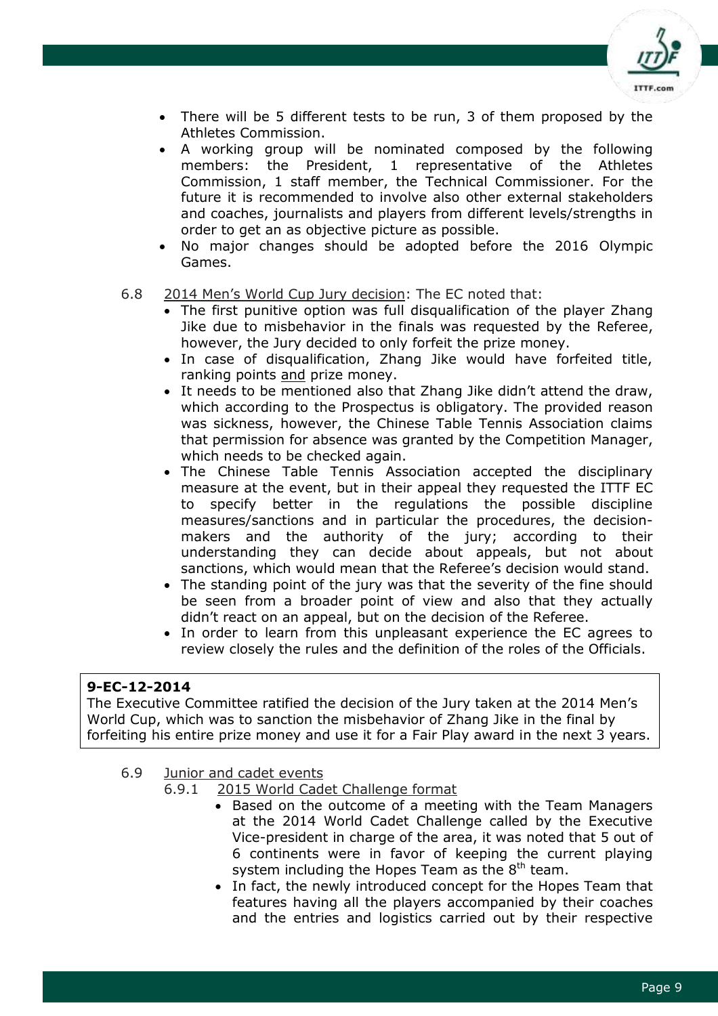

- There will be 5 different tests to be run, 3 of them proposed by the Athletes Commission.
- A working group will be nominated composed by the following members: the President, 1 representative of the Athletes Commission, 1 staff member, the Technical Commissioner. For the future it is recommended to involve also other external stakeholders and coaches, journalists and players from different levels/strengths in order to get an as objective picture as possible.
- No major changes should be adopted before the 2016 Olympic Games.
- 6.8 2014 Men's World Cup Jury decision: The EC noted that:
	- The first punitive option was full disqualification of the player Zhang Jike due to misbehavior in the finals was requested by the Referee, however, the Jury decided to only forfeit the prize money.
	- In case of disqualification, Zhang Jike would have forfeited title, ranking points and prize money.
	- It needs to be mentioned also that Zhang Jike didn't attend the draw, which according to the Prospectus is obligatory. The provided reason was sickness, however, the Chinese Table Tennis Association claims that permission for absence was granted by the Competition Manager, which needs to be checked again.
	- The Chinese Table Tennis Association accepted the disciplinary measure at the event, but in their appeal they requested the ITTF EC to specify better in the regulations the possible discipline measures/sanctions and in particular the procedures, the decisionmakers and the authority of the jury; according to their understanding they can decide about appeals, but not about sanctions, which would mean that the Referee's decision would stand.
	- The standing point of the jury was that the severity of the fine should be seen from a broader point of view and also that they actually didn't react on an appeal, but on the decision of the Referee.
	- In order to learn from this unpleasant experience the EC agrees to review closely the rules and the definition of the roles of the Officials.

The Executive Committee ratified the decision of the Jury taken at the 2014 Men's World Cup, which was to sanction the misbehavior of Zhang Jike in the final by forfeiting his entire prize money and use it for a Fair Play award in the next 3 years.

- 6.9 Junior and cadet events
	- 6.9.1 2015 World Cadet Challenge format
		- Based on the outcome of a meeting with the Team Managers at the 2014 World Cadet Challenge called by the Executive Vice-president in charge of the area, it was noted that 5 out of 6 continents were in favor of keeping the current playing system including the Hopes Team as the  $8<sup>th</sup>$  team.
		- In fact, the newly introduced concept for the Hopes Team that features having all the players accompanied by their coaches and the entries and logistics carried out by their respective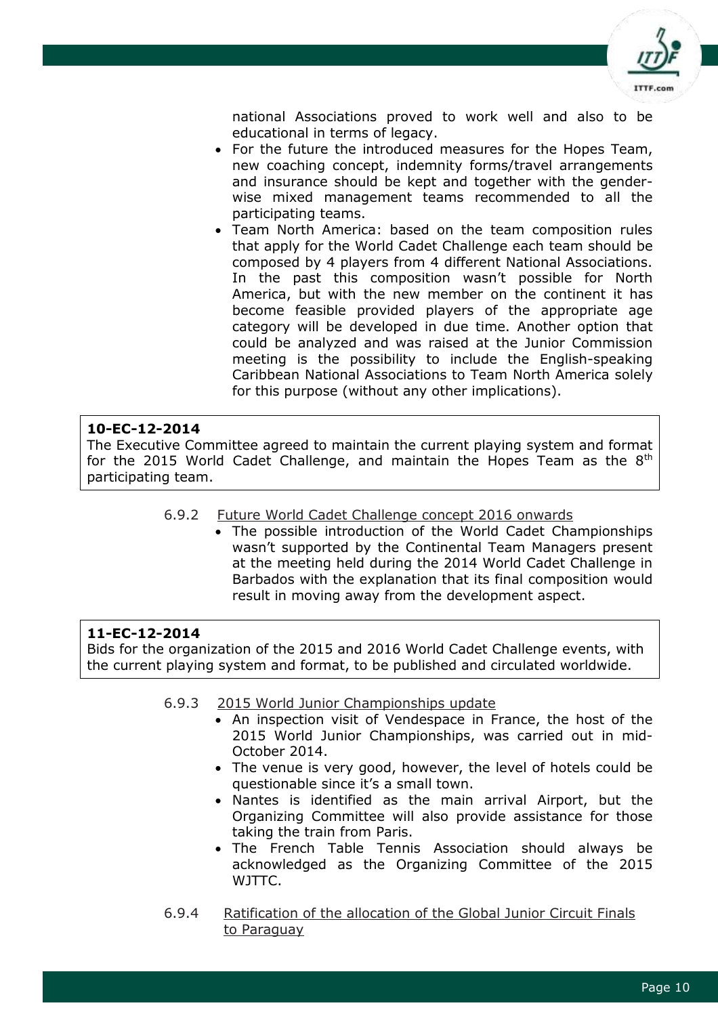

national Associations proved to work well and also to be educational in terms of legacy.

- For the future the introduced measures for the Hopes Team, new coaching concept, indemnity forms/travel arrangements and insurance should be kept and together with the genderwise mixed management teams recommended to all the participating teams.
- Team North America: based on the team composition rules that apply for the World Cadet Challenge each team should be composed by 4 players from 4 different National Associations. In the past this composition wasn't possible for North America, but with the new member on the continent it has become feasible provided players of the appropriate age category will be developed in due time. Another option that could be analyzed and was raised at the Junior Commission meeting is the possibility to include the English-speaking Caribbean National Associations to Team North America solely for this purpose (without any other implications).

#### **10-EC-12-2014**

The Executive Committee agreed to maintain the current playing system and format for the 2015 World Cadet Challenge, and maintain the Hopes Team as the  $8<sup>th</sup>$ participating team.

#### 6.9.2 Future World Cadet Challenge concept 2016 onwards

 The possible introduction of the World Cadet Championships wasn't supported by the Continental Team Managers present at the meeting held during the 2014 World Cadet Challenge in Barbados with the explanation that its final composition would result in moving away from the development aspect.

#### **11-EC-12-2014**

Bids for the organization of the 2015 and 2016 World Cadet Challenge events, with the current playing system and format, to be published and circulated worldwide.

#### 6.9.3 2015 World Junior Championships update

- An inspection visit of Vendespace in France, the host of the 2015 World Junior Championships, was carried out in mid-October 2014.
- The venue is very good, however, the level of hotels could be questionable since it's a small town.
- Nantes is identified as the main arrival Airport, but the Organizing Committee will also provide assistance for those taking the train from Paris.
- The French Table Tennis Association should always be acknowledged as the Organizing Committee of the 2015 WJTTC.
- 6.9.4 Ratification of the allocation of the Global Junior Circuit Finals to Paraguay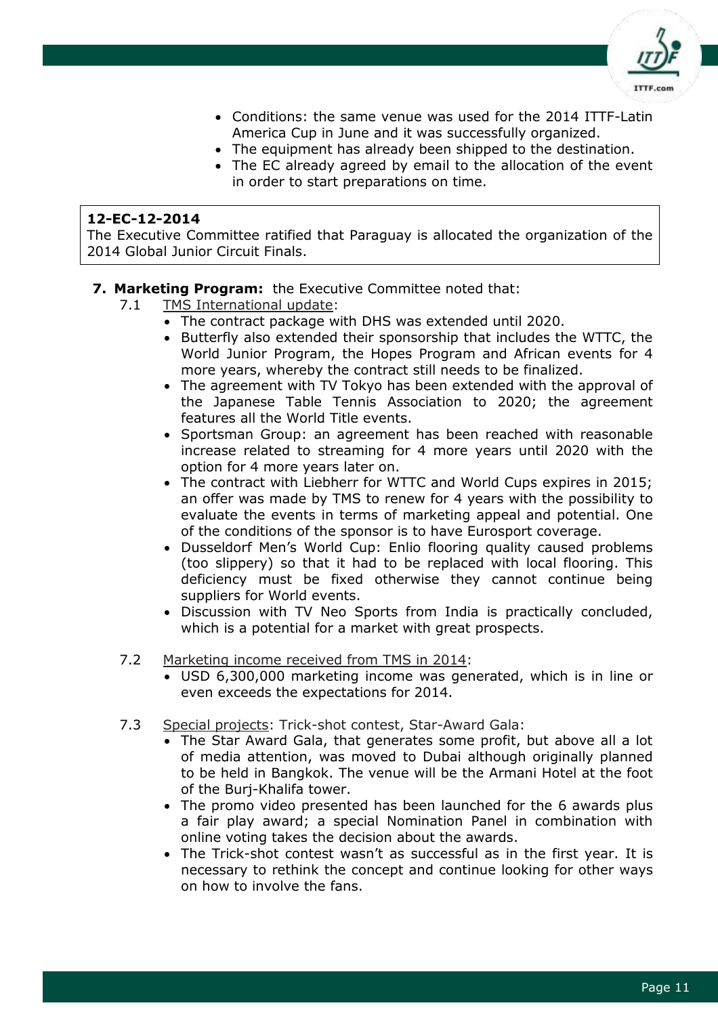

- Conditions: the same venue was used for the 2014 ITTF-Latin America Cup in June and it was successfully organized.
- The equipment has already been shipped to the destination.
- The EC already agreed by email to the allocation of the event in order to start preparations on time.

The Executive Committee ratified that Paraguay is allocated the organization of the 2014 Global Junior Circuit Finals.

#### **7. Marketing Program:** the Executive Committee noted that:

- 7.1 TMS International update:
	- The contract package with DHS was extended until 2020.
	- Butterfly also extended their sponsorship that includes the WTTC, the World Junior Program, the Hopes Program and African events for 4 more years, whereby the contract still needs to be finalized.
	- The agreement with TV Tokyo has been extended with the approval of the Japanese Table Tennis Association to 2020; the agreement features all the World Title events.
	- Sportsman Group: an agreement has been reached with reasonable increase related to streaming for 4 more years until 2020 with the option for 4 more years later on.
	- The contract with Liebherr for WTTC and World Cups expires in 2015; an offer was made by TMS to renew for 4 years with the possibility to evaluate the events in terms of marketing appeal and potential. One of the conditions of the sponsor is to have Eurosport coverage.
	- Dusseldorf Men's World Cup: Enlio flooring quality caused problems (too slippery) so that it had to be replaced with local flooring. This deficiency must be fixed otherwise they cannot continue being suppliers for World events.
	- Discussion with TV Neo Sports from India is practically concluded, which is a potential for a market with great prospects.
- 7.2 Marketing income received from TMS in 2014:
	- USD 6,300,000 marketing income was generated, which is in line or even exceeds the expectations for 2014.
- 7.3 Special projects: Trick-shot contest, Star-Award Gala:
	- The Star Award Gala, that generates some profit, but above all a lot of media attention, was moved to Dubai although originally planned to be held in Bangkok. The venue will be the Armani Hotel at the foot of the Burj-Khalifa tower.
	- The promo video presented has been launched for the 6 awards plus a fair play award; a special Nomination Panel in combination with online voting takes the decision about the awards.
	- The Trick-shot contest wasn't as successful as in the first year. It is necessary to rethink the concept and continue looking for other ways on how to involve the fans.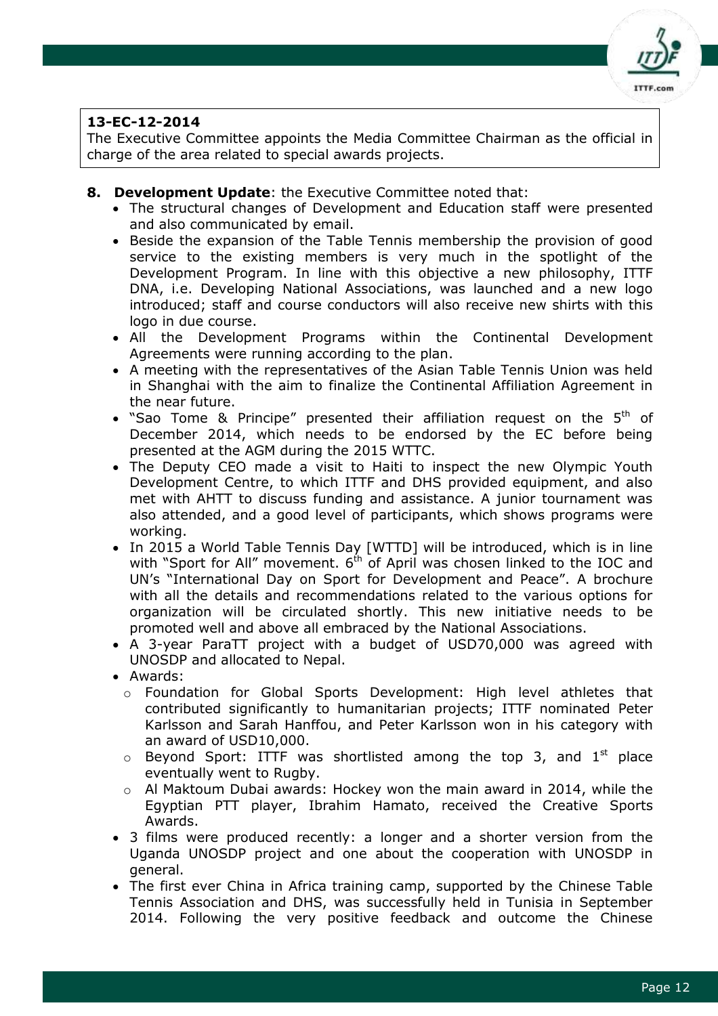

The Executive Committee appoints the Media Committee Chairman as the official in charge of the area related to special awards projects.

- **8. Development Update**: the Executive Committee noted that:
	- The structural changes of Development and Education staff were presented and also communicated by email.
	- Beside the expansion of the Table Tennis membership the provision of good service to the existing members is very much in the spotlight of the Development Program. In line with this objective a new philosophy, ITTF DNA, i.e. Developing National Associations, was launched and a new logo introduced; staff and course conductors will also receive new shirts with this logo in due course.
	- All the Development Programs within the Continental Development Agreements were running according to the plan.
	- A meeting with the representatives of the Asian Table Tennis Union was held in Shanghai with the aim to finalize the Continental Affiliation Agreement in the near future.
	- "Sao Tome & Principe" presented their affiliation request on the  $5<sup>th</sup>$  of December 2014, which needs to be endorsed by the EC before being presented at the AGM during the 2015 WTTC.
	- The Deputy CEO made a visit to Haiti to inspect the new Olympic Youth Development Centre, to which ITTF and DHS provided equipment, and also met with AHTT to discuss funding and assistance. A junior tournament was also attended, and a good level of participants, which shows programs were working.
	- In 2015 a World Table Tennis Day [WTTD] will be introduced, which is in line with "Sport for All" movement.  $6<sup>th</sup>$  of April was chosen linked to the IOC and UN's "International Day on Sport for Development and Peace". A brochure with all the details and recommendations related to the various options for organization will be circulated shortly. This new initiative needs to be promoted well and above all embraced by the National Associations.
	- A 3-year ParaTT project with a budget of USD70,000 was agreed with UNOSDP and allocated to Nepal.
	- Awards:
		- o Foundation for Global Sports Development: High level athletes that contributed significantly to humanitarian projects; ITTF nominated Peter Karlsson and Sarah Hanffou, and Peter Karlsson won in his category with an award of USD10,000.
		- $\circ$  Beyond Sport: ITTF was shortlisted among the top 3, and  $1^{st}$  place eventually went to Rugby.
		- $\circ$  Al Maktoum Dubai awards: Hockey won the main award in 2014, while the Egyptian PTT player, Ibrahim Hamato, received the Creative Sports Awards.
	- 3 films were produced recently: a longer and a shorter version from the Uganda UNOSDP project and one about the cooperation with UNOSDP in general.
	- The first ever China in Africa training camp, supported by the Chinese Table Tennis Association and DHS, was successfully held in Tunisia in September 2014. Following the very positive feedback and outcome the Chinese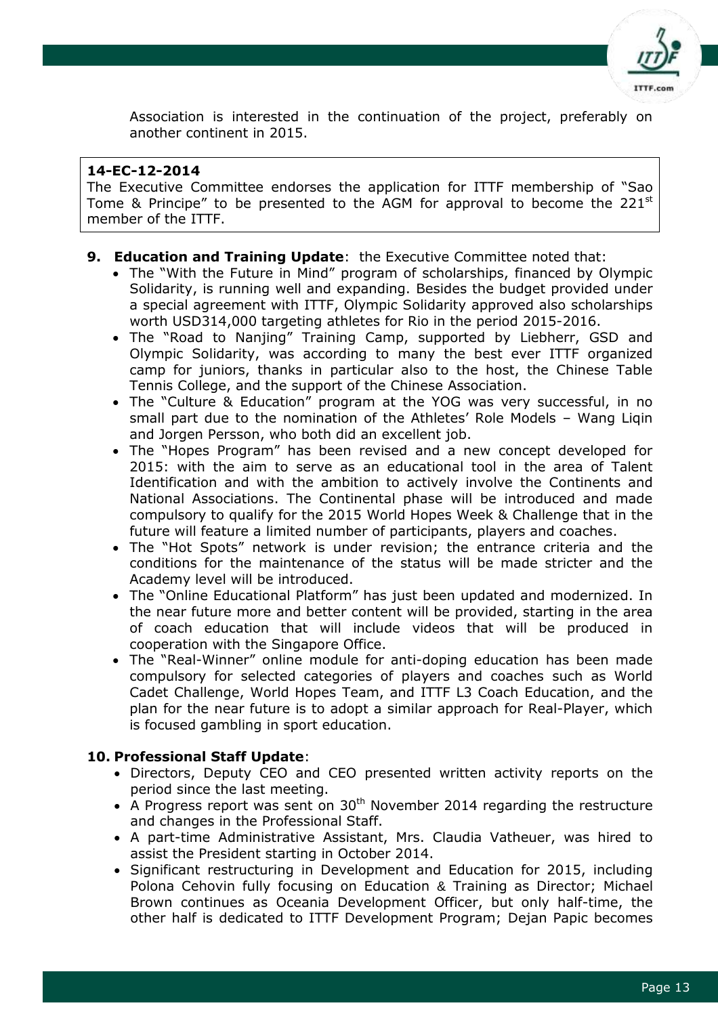

Association is interested in the continuation of the project, preferably on another continent in 2015.

# **14-EC-12-2014**

The Executive Committee endorses the application for ITTF membership of "Sao Tome & Principe" to be presented to the AGM for approval to become the  $221^{st}$ member of the ITTF.

# **9. Education and Training Update**: the Executive Committee noted that:

- The "With the Future in Mind" program of scholarships, financed by Olympic Solidarity, is running well and expanding. Besides the budget provided under a special agreement with ITTF, Olympic Solidarity approved also scholarships worth USD314,000 targeting athletes for Rio in the period 2015-2016.
- The "Road to Nanjing" Training Camp, supported by Liebherr, GSD and Olympic Solidarity, was according to many the best ever ITTF organized camp for juniors, thanks in particular also to the host, the Chinese Table Tennis College, and the support of the Chinese Association.
- The "Culture & Education" program at the YOG was very successful, in no small part due to the nomination of the Athletes' Role Models – Wang Liqin and Jorgen Persson, who both did an excellent job.
- The "Hopes Program" has been revised and a new concept developed for 2015: with the aim to serve as an educational tool in the area of Talent Identification and with the ambition to actively involve the Continents and National Associations. The Continental phase will be introduced and made compulsory to qualify for the 2015 World Hopes Week & Challenge that in the future will feature a limited number of participants, players and coaches.
- The "Hot Spots" network is under revision; the entrance criteria and the conditions for the maintenance of the status will be made stricter and the Academy level will be introduced.
- The "Online Educational Platform" has just been updated and modernized. In the near future more and better content will be provided, starting in the area of coach education that will include videos that will be produced in cooperation with the Singapore Office.
- The "Real-Winner" online module for anti-doping education has been made compulsory for selected categories of players and coaches such as World Cadet Challenge, World Hopes Team, and ITTF L3 Coach Education, and the plan for the near future is to adopt a similar approach for Real-Player, which is focused gambling in sport education.

# **10. Professional Staff Update**:

- Directors, Deputy CEO and CEO presented written activity reports on the period since the last meeting.
- $\bullet$  A Progress report was sent on 30<sup>th</sup> November 2014 regarding the restructure and changes in the Professional Staff.
- A part-time Administrative Assistant, Mrs. Claudia Vatheuer, was hired to assist the President starting in October 2014.
- Significant restructuring in Development and Education for 2015, including Polona Cehovin fully focusing on Education & Training as Director; Michael Brown continues as Oceania Development Officer, but only half-time, the other half is dedicated to ITTF Development Program; Dejan Papic becomes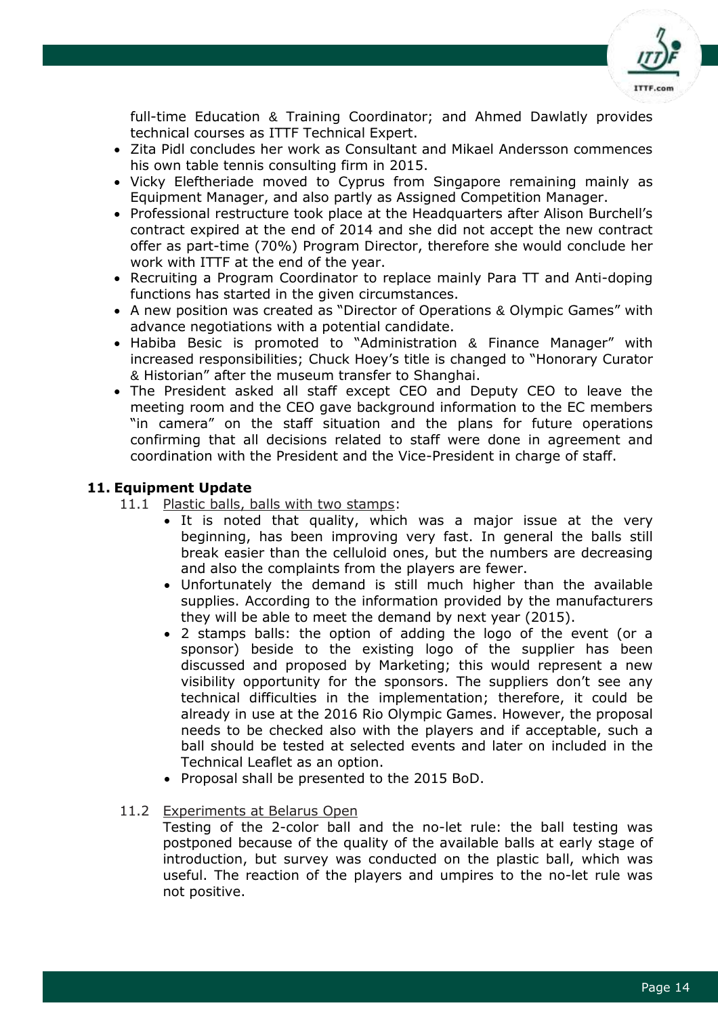

full-time Education & Training Coordinator; and Ahmed Dawlatly provides technical courses as ITTF Technical Expert.

- Zita Pidl concludes her work as Consultant and Mikael Andersson commences his own table tennis consulting firm in 2015.
- Vicky Eleftheriade moved to Cyprus from Singapore remaining mainly as Equipment Manager, and also partly as Assigned Competition Manager.
- Professional restructure took place at the Headquarters after Alison Burchell's contract expired at the end of 2014 and she did not accept the new contract offer as part-time (70%) Program Director, therefore she would conclude her work with ITTF at the end of the year.
- Recruiting a Program Coordinator to replace mainly Para TT and Anti-doping functions has started in the given circumstances.
- A new position was created as "Director of Operations & Olympic Games" with advance negotiations with a potential candidate.
- Habiba Besic is promoted to "Administration & Finance Manager" with increased responsibilities; Chuck Hoey's title is changed to "Honorary Curator & Historian" after the museum transfer to Shanghai.
- The President asked all staff except CEO and Deputy CEO to leave the meeting room and the CEO gave background information to the EC members "in camera" on the staff situation and the plans for future operations confirming that all decisions related to staff were done in agreement and coordination with the President and the Vice-President in charge of staff.

#### **11. Equipment Update**

11.1 Plastic balls, balls with two stamps:

- It is noted that quality, which was a major issue at the very beginning, has been improving very fast. In general the balls still break easier than the celluloid ones, but the numbers are decreasing and also the complaints from the players are fewer.
- Unfortunately the demand is still much higher than the available supplies. According to the information provided by the manufacturers they will be able to meet the demand by next year (2015).
- 2 stamps balls: the option of adding the logo of the event (or a sponsor) beside to the existing logo of the supplier has been discussed and proposed by Marketing; this would represent a new visibility opportunity for the sponsors. The suppliers don't see any technical difficulties in the implementation; therefore, it could be already in use at the 2016 Rio Olympic Games. However, the proposal needs to be checked also with the players and if acceptable, such a ball should be tested at selected events and later on included in the Technical Leaflet as an option.
- Proposal shall be presented to the 2015 BoD.
- 11.2 Experiments at Belarus Open

Testing of the 2-color ball and the no-let rule: the ball testing was postponed because of the quality of the available balls at early stage of introduction, but survey was conducted on the plastic ball, which was useful. The reaction of the players and umpires to the no-let rule was not positive.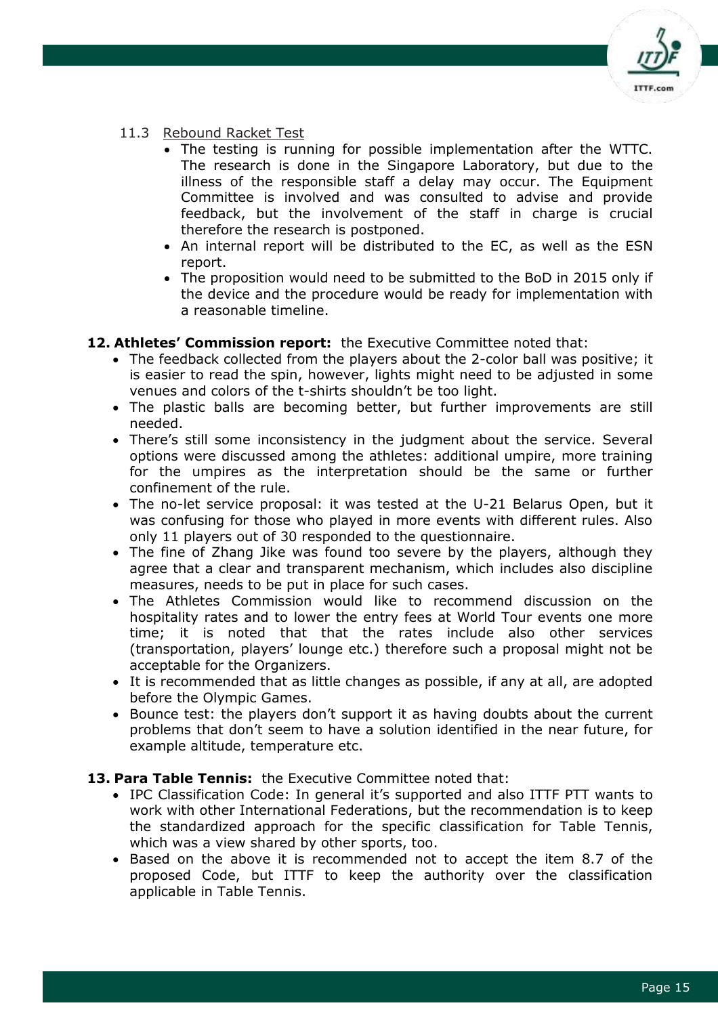

#### 11.3 Rebound Racket Test

- The testing is running for possible implementation after the WTTC. The research is done in the Singapore Laboratory, but due to the illness of the responsible staff a delay may occur. The Equipment Committee is involved and was consulted to advise and provide feedback, but the involvement of the staff in charge is crucial therefore the research is postponed.
- An internal report will be distributed to the EC, as well as the ESN report.
- The proposition would need to be submitted to the BoD in 2015 only if the device and the procedure would be ready for implementation with a reasonable timeline.

# **12. Athletes' Commission report:** the Executive Committee noted that:

- The feedback collected from the players about the 2-color ball was positive; it is easier to read the spin, however, lights might need to be adjusted in some venues and colors of the t-shirts shouldn't be too light.
- The plastic balls are becoming better, but further improvements are still needed.
- There's still some inconsistency in the judgment about the service. Several options were discussed among the athletes: additional umpire, more training for the umpires as the interpretation should be the same or further confinement of the rule.
- The no-let service proposal: it was tested at the U-21 Belarus Open, but it was confusing for those who played in more events with different rules. Also only 11 players out of 30 responded to the questionnaire.
- The fine of Zhang Jike was found too severe by the players, although they agree that a clear and transparent mechanism, which includes also discipline measures, needs to be put in place for such cases.
- The Athletes Commission would like to recommend discussion on the hospitality rates and to lower the entry fees at World Tour events one more time; it is noted that that the rates include also other services (transportation, players' lounge etc.) therefore such a proposal might not be acceptable for the Organizers.
- It is recommended that as little changes as possible, if any at all, are adopted before the Olympic Games.
- Bounce test: the players don't support it as having doubts about the current problems that don't seem to have a solution identified in the near future, for example altitude, temperature etc.

#### **13. Para Table Tennis:** the Executive Committee noted that:

- IPC Classification Code: In general it's supported and also ITTF PTT wants to work with other International Federations, but the recommendation is to keep the standardized approach for the specific classification for Table Tennis, which was a view shared by other sports, too.
- Based on the above it is recommended not to accept the item 8.7 of the proposed Code, but ITTF to keep the authority over the classification applicable in Table Tennis.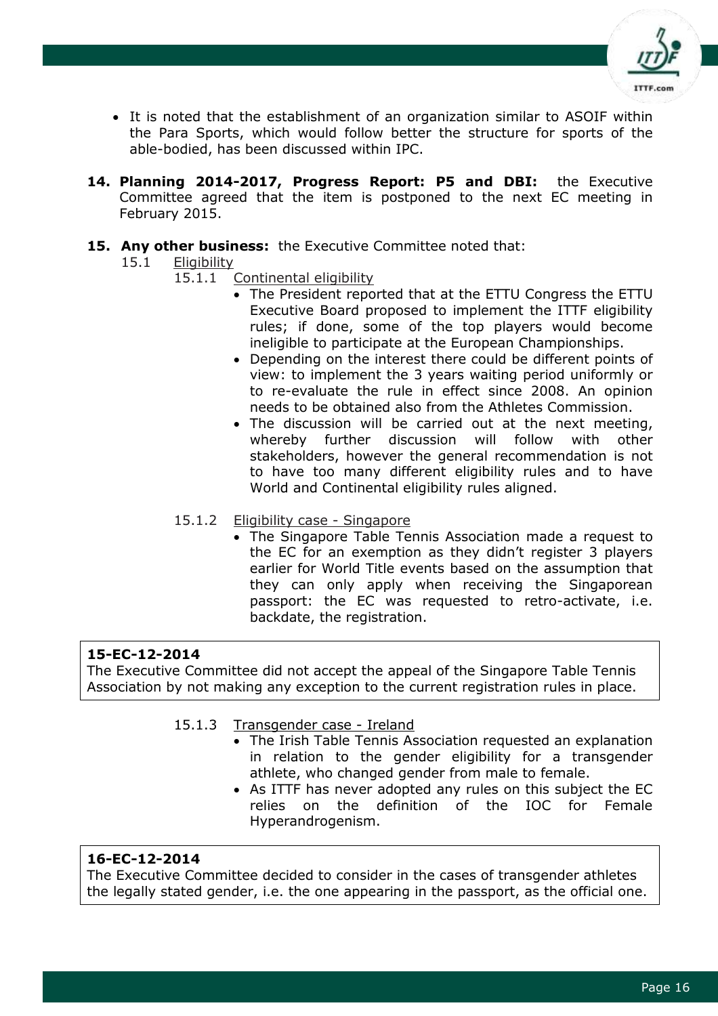

- It is noted that the establishment of an organization similar to ASOIF within the Para Sports, which would follow better the structure for sports of the able-bodied, has been discussed within IPC.
- **14. Planning 2014-2017, Progress Report: P5 and DBI:** the Executive Committee agreed that the item is postponed to the next EC meeting in February 2015.

# **15. Any other business:** the Executive Committee noted that:

- 15.1 Eligibility
	- 15.1.1 Continental eligibility
		- The President reported that at the ETTU Congress the ETTU Executive Board proposed to implement the ITTF eligibility rules; if done, some of the top players would become ineligible to participate at the European Championships.
		- Depending on the interest there could be different points of view: to implement the 3 years waiting period uniformly or to re-evaluate the rule in effect since 2008. An opinion needs to be obtained also from the Athletes Commission.
		- The discussion will be carried out at the next meeting, whereby further discussion will follow with other stakeholders, however the general recommendation is not to have too many different eligibility rules and to have World and Continental eligibility rules aligned.
	- 15.1.2 Eligibility case Singapore
		- The Singapore Table Tennis Association made a request to the EC for an exemption as they didn't register 3 players earlier for World Title events based on the assumption that they can only apply when receiving the Singaporean passport: the EC was requested to retro-activate, i.e. backdate, the registration.

# **15-EC-12-2014**

The Executive Committee did not accept the appeal of the Singapore Table Tennis Association by not making any exception to the current registration rules in place.

#### 15.1.3 Transgender case - Ireland

- The Irish Table Tennis Association requested an explanation in relation to the gender eligibility for a transgender athlete, who changed gender from male to female.
- As ITTF has never adopted any rules on this subject the EC relies on the definition of the IOC for Female Hyperandrogenism.

# **16-EC-12-2014**

The Executive Committee decided to consider in the cases of transgender athletes the legally stated gender, i.e. the one appearing in the passport, as the official one.